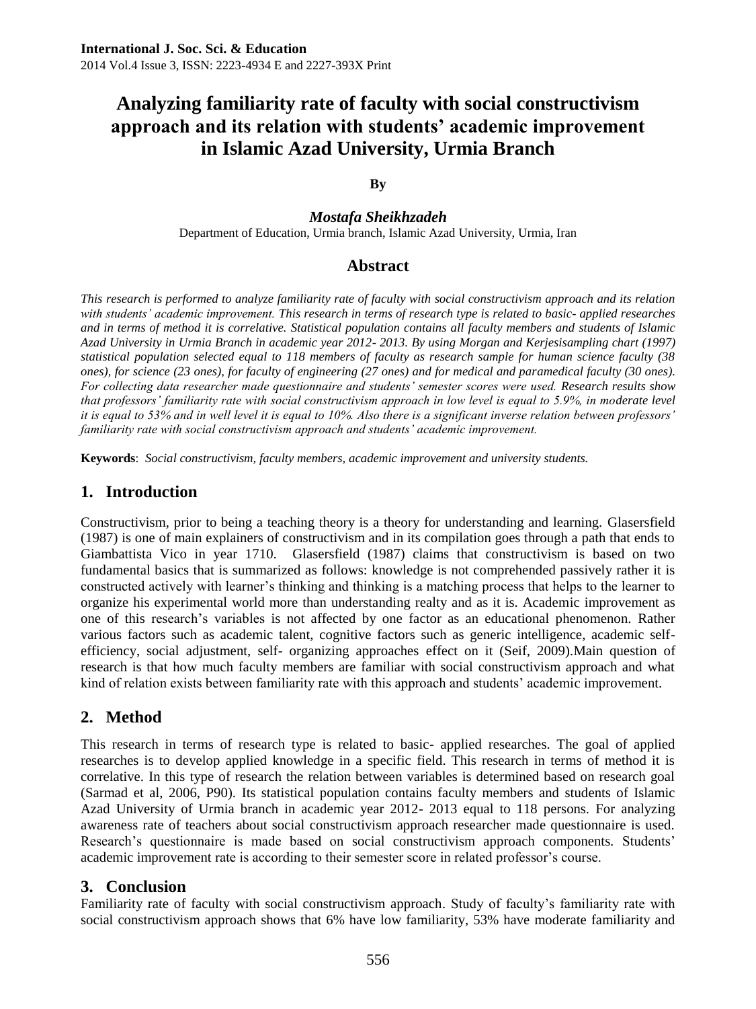# **Analyzing familiarity rate of faculty with social constructivism approach and its relation with students' academic improvement in Islamic Azad University, Urmia Branch**

#### **By**

*Mostafa Sheikhzadeh* Department of Education, Urmia branch, Islamic Azad University, Urmia, Iran

### **Abstract**

*This research is performed to analyze familiarity rate of faculty with social constructivism approach and its relation with students' academic improvement. This research in terms of research type is related to basic- applied researches and in terms of method it is correlative. Statistical population contains all faculty members and students of Islamic Azad University in Urmia Branch in academic year 2012- 2013. By using Morgan and Kerjesisampling chart (1997) statistical population selected equal to 118 members of faculty as research sample for human science faculty (38 ones), for science (23 ones), for faculty of engineering (27 ones) and for medical and paramedical faculty (30 ones). For collecting data researcher made questionnaire and students' semester scores were used. Research results show that professors' familiarity rate with social constructivism approach in low level is equal to 5.9%, in moderate level it is equal to 53% and in well level it is equal to 10%. Also there is a significant inverse relation between professors' familiarity rate with social constructivism approach and students' academic improvement.*

**Keywords**: *Social constructivism, faculty members, academic improvement and university students.*

### **1. Introduction**

Constructivism, prior to being a teaching theory is a theory for understanding and learning. Glasersfield (1987) is one of main explainers of constructivism and in its compilation goes through a path that ends to Giambattista Vico in year 1710. Glasersfield (1987) claims that constructivism is based on two fundamental basics that is summarized as follows: knowledge is not comprehended passively rather it is constructed actively with learner's thinking and thinking is a matching process that helps to the learner to organize his experimental world more than understanding realty and as it is. Academic improvement as one of this research's variables is not affected by one factor as an educational phenomenon. Rather various factors such as academic talent, cognitive factors such as generic intelligence, academic selfefficiency, social adjustment, self- organizing approaches effect on it (Seif, 2009).Main question of research is that how much faculty members are familiar with social constructivism approach and what kind of relation exists between familiarity rate with this approach and students' academic improvement.

# **2. Method**

This research in terms of research type is related to basic- applied researches. The goal of applied researches is to develop applied knowledge in a specific field. This research in terms of method it is correlative. In this type of research the relation between variables is determined based on research goal (Sarmad et al, 2006, P90). Its statistical population contains faculty members and students of Islamic Azad University of Urmia branch in academic year 2012- 2013 equal to 118 persons. For analyzing awareness rate of teachers about social constructivism approach researcher made questionnaire is used. Research's questionnaire is made based on social constructivism approach components. Students' academic improvement rate is according to their semester score in related professor's course.

### **3. Conclusion**

Familiarity rate of faculty with social constructivism approach. Study of faculty's familiarity rate with social constructivism approach shows that 6% have low familiarity, 53% have moderate familiarity and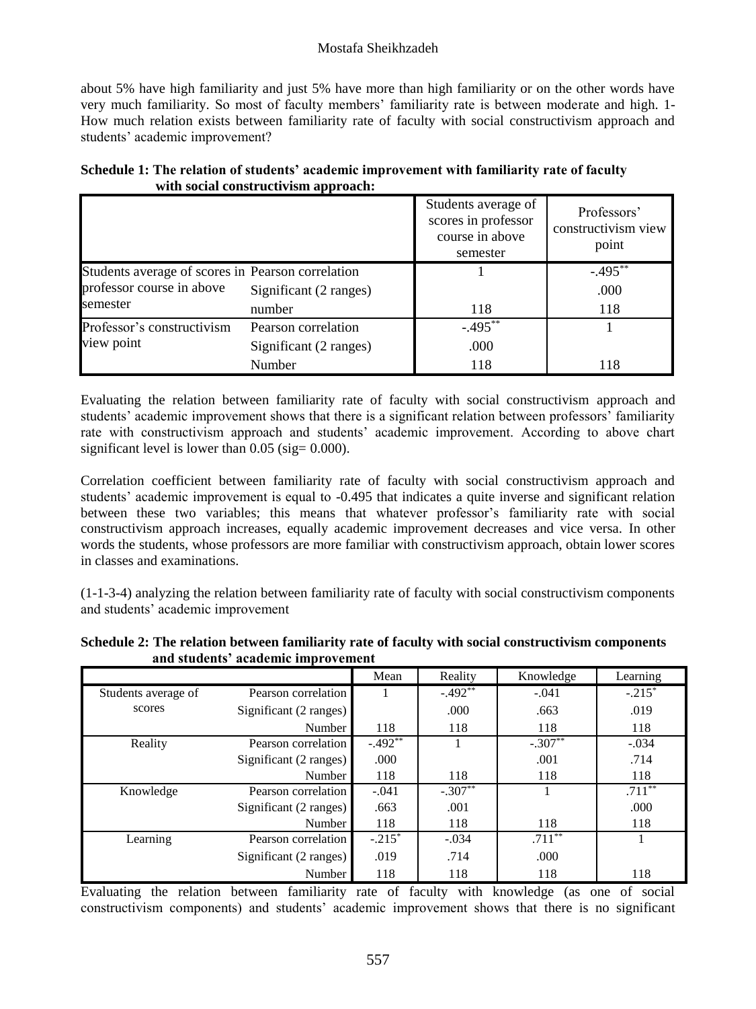#### Mostafa Sheikhzadeh

about 5% have high familiarity and just 5% have more than high familiarity or on the other words have very much familiarity. So most of faculty members' familiarity rate is between moderate and high. 1- How much relation exists between familiarity rate of faculty with social constructivism approach and students' academic improvement?

|  |                                      |  | Schedule 1: The relation of students' academic improvement with familiarity rate of faculty |
|--|--------------------------------------|--|---------------------------------------------------------------------------------------------|
|  | with social constructivism approach: |  |                                                                                             |

|                                                   |                        | Students average of<br>scores in professor<br>course in above<br>semester | Professors'<br>constructivism view<br>point |
|---------------------------------------------------|------------------------|---------------------------------------------------------------------------|---------------------------------------------|
| Students average of scores in Pearson correlation |                        |                                                                           | $-.495***$                                  |
| professor course in above                         | Significant (2 ranges) |                                                                           | .000                                        |
| semester                                          | number                 | 118                                                                       | 118                                         |
| Professor's constructivism                        | Pearson correlation    | $-.495***$                                                                |                                             |
| view point                                        | Significant (2 ranges) | .000                                                                      |                                             |
|                                                   | Number                 | 118                                                                       | 118                                         |

Evaluating the relation between familiarity rate of faculty with social constructivism approach and students' academic improvement shows that there is a significant relation between professors' familiarity rate with constructivism approach and students' academic improvement. According to above chart significant level is lower than  $0.05$  (sig=  $0.000$ ).

Correlation coefficient between familiarity rate of faculty with social constructivism approach and students' academic improvement is equal to -0.495 that indicates a quite inverse and significant relation between these two variables; this means that whatever professor's familiarity rate with social constructivism approach increases, equally academic improvement decreases and vice versa. In other words the students, whose professors are more familiar with constructivism approach, obtain lower scores in classes and examinations.

(1-1-3-4) analyzing the relation between familiarity rate of faculty with social constructivism components and students' academic improvement

|                     |                        | Mean      | Reality   | Knowledge | Learning  |
|---------------------|------------------------|-----------|-----------|-----------|-----------|
| Students average of | Pearson correlation    |           | $-.492**$ | $-.041$   | $-.215*$  |
| scores              | Significant (2 ranges) |           | .000.     | .663      | .019      |
|                     | Number                 | 118       | 118       | 118       | 118       |
| Reality             | Pearson correlation    | $-.492**$ |           | $-.307**$ | $-.034$   |
|                     | Significant (2 ranges) | .000      |           | .001      | .714      |
|                     | Number                 | 118       | 118       | 118       | 118       |
| Knowledge           | Pearson correlation    | $-.041$   | $-.307**$ |           | $.711***$ |
|                     | Significant (2 ranges) | .663      | .001      |           | .000      |
|                     | Number                 | 118       | 118       | 118       | 118       |
| Learning            | Pearson correlation    | $-.215*$  | $-.034$   | $.711***$ |           |
|                     | Significant (2 ranges) | .019      | .714      | .000      |           |
|                     | Number                 | 118       | 118       | 118       | 118       |

**Schedule 2: The relation between familiarity rate of faculty with social constructivism components and students' academic improvement**

Evaluating the relation between familiarity rate of faculty with knowledge (as one of social constructivism components) and students' academic improvement shows that there is no significant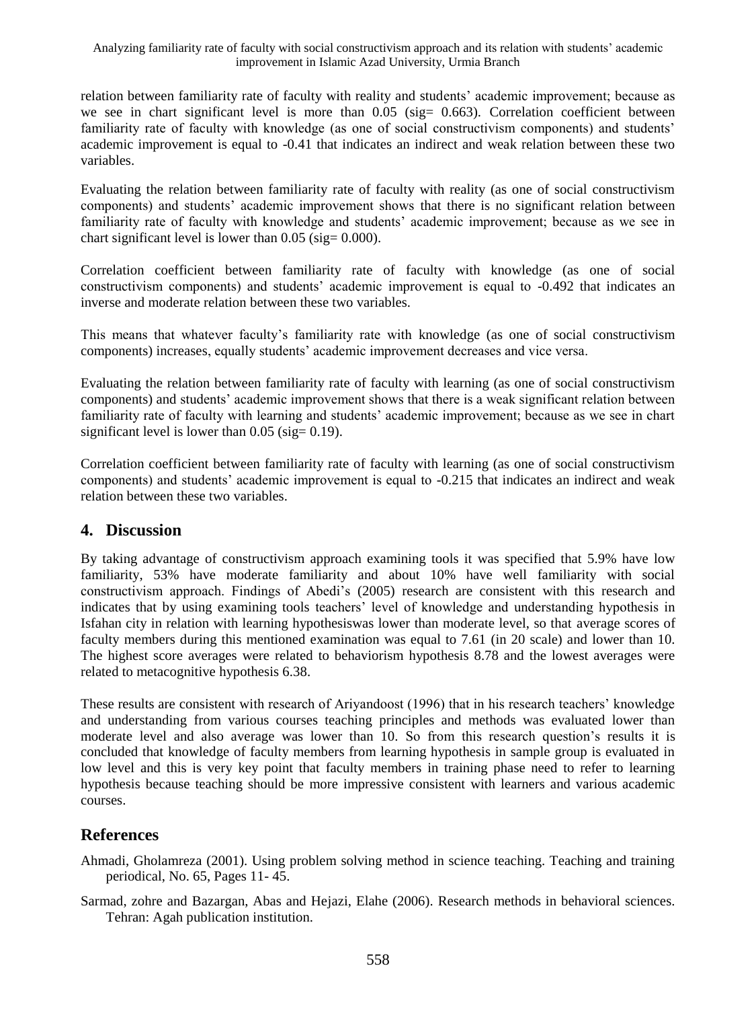relation between familiarity rate of faculty with reality and students' academic improvement; because as we see in chart significant level is more than  $0.05$  (sig = 0.663). Correlation coefficient between familiarity rate of faculty with knowledge (as one of social constructivism components) and students' academic improvement is equal to -0.41 that indicates an indirect and weak relation between these two variables.

Evaluating the relation between familiarity rate of faculty with reality (as one of social constructivism components) and students' academic improvement shows that there is no significant relation between familiarity rate of faculty with knowledge and students' academic improvement; because as we see in chart significant level is lower than  $0.05$  (sig=  $0.000$ ).

Correlation coefficient between familiarity rate of faculty with knowledge (as one of social constructivism components) and students' academic improvement is equal to -0.492 that indicates an inverse and moderate relation between these two variables.

This means that whatever faculty's familiarity rate with knowledge (as one of social constructivism components) increases, equally students' academic improvement decreases and vice versa.

Evaluating the relation between familiarity rate of faculty with learning (as one of social constructivism components) and students' academic improvement shows that there is a weak significant relation between familiarity rate of faculty with learning and students' academic improvement; because as we see in chart significant level is lower than  $0.05$  (sig=  $0.19$ ).

Correlation coefficient between familiarity rate of faculty with learning (as one of social constructivism components) and students' academic improvement is equal to -0.215 that indicates an indirect and weak relation between these two variables.

# **4. Discussion**

By taking advantage of constructivism approach examining tools it was specified that 5.9% have low familiarity, 53% have moderate familiarity and about 10% have well familiarity with social constructivism approach. Findings of Abedi's (2005) research are consistent with this research and indicates that by using examining tools teachers' level of knowledge and understanding hypothesis in Isfahan city in relation with learning hypothesiswas lower than moderate level, so that average scores of faculty members during this mentioned examination was equal to 7.61 (in 20 scale) and lower than 10. The highest score averages were related to behaviorism hypothesis 8.78 and the lowest averages were related to metacognitive hypothesis 6.38.

These results are consistent with research of Ariyandoost (1996) that in his research teachers' knowledge and understanding from various courses teaching principles and methods was evaluated lower than moderate level and also average was lower than 10. So from this research question's results it is concluded that knowledge of faculty members from learning hypothesis in sample group is evaluated in low level and this is very key point that faculty members in training phase need to refer to learning hypothesis because teaching should be more impressive consistent with learners and various academic courses.

# **References**

Ahmadi, Gholamreza (2001). Using problem solving method in science teaching. Teaching and training periodical, No. 65, Pages 11- 45.

Sarmad, zohre and Bazargan, Abas and Hejazi, Elahe (2006). Research methods in behavioral sciences. Tehran: Agah publication institution.